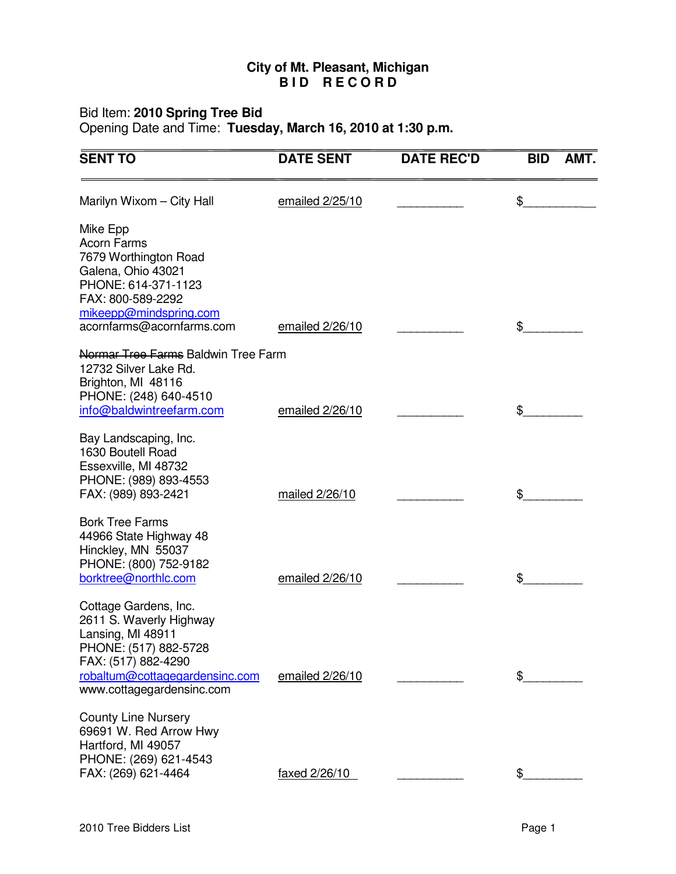## **City of Mt. Pleasant, Michigan B I D R E C O R D**

#### Bid Item: **2010 Spring Tree Bid**

Opening Date and Time: **Tuesday, March 16, 2010 at 1:30 p.m.**

| <b>SENT TO</b>                                                                                                                                                                       | <b>DATE SENT</b> | <b>DATE REC'D</b> | <b>BID</b><br>AMT. |
|--------------------------------------------------------------------------------------------------------------------------------------------------------------------------------------|------------------|-------------------|--------------------|
| Marilyn Wixom - City Hall                                                                                                                                                            | emailed 2/25/10  |                   | \$                 |
| Mike Epp<br><b>Acorn Farms</b><br>7679 Worthington Road<br>Galena, Ohio 43021<br>PHONE: 614-371-1123<br>FAX: 800-589-2292<br>mikeepp@mindspring.com<br>acornfarms@acornfarms.com     | emailed 2/26/10  |                   | \$                 |
| Normar Tree Farms Baldwin Tree Farm                                                                                                                                                  |                  |                   |                    |
| 12732 Silver Lake Rd.<br>Brighton, MI 48116<br>PHONE: (248) 640-4510<br>info@baldwintreefarm.com                                                                                     | emailed 2/26/10  |                   | \$                 |
| Bay Landscaping, Inc.<br>1630 Boutell Road<br>Essexville, MI 48732<br>PHONE: (989) 893-4553<br>FAX: (989) 893-2421                                                                   | mailed 2/26/10   |                   | \$                 |
| <b>Bork Tree Farms</b><br>44966 State Highway 48<br>Hinckley, MN 55037<br>PHONE: (800) 752-9182<br>borktree@northlc.com                                                              | emailed 2/26/10  |                   | \$                 |
| Cottage Gardens, Inc.<br>2611 S. Waverly Highway<br>Lansing, MI 48911<br>PHONE: (517) 882-5728<br>FAX: (517) 882-4290<br>robaltum@cottagegardensinc.com<br>www.cottagegardensinc.com | emailed 2/26/10  |                   | \$                 |
| <b>County Line Nursery</b><br>69691 W. Red Arrow Hwy<br>Hartford, MI 49057<br>PHONE: (269) 621-4543<br>FAX: (269) 621-4464                                                           | faxed 2/26/10    |                   |                    |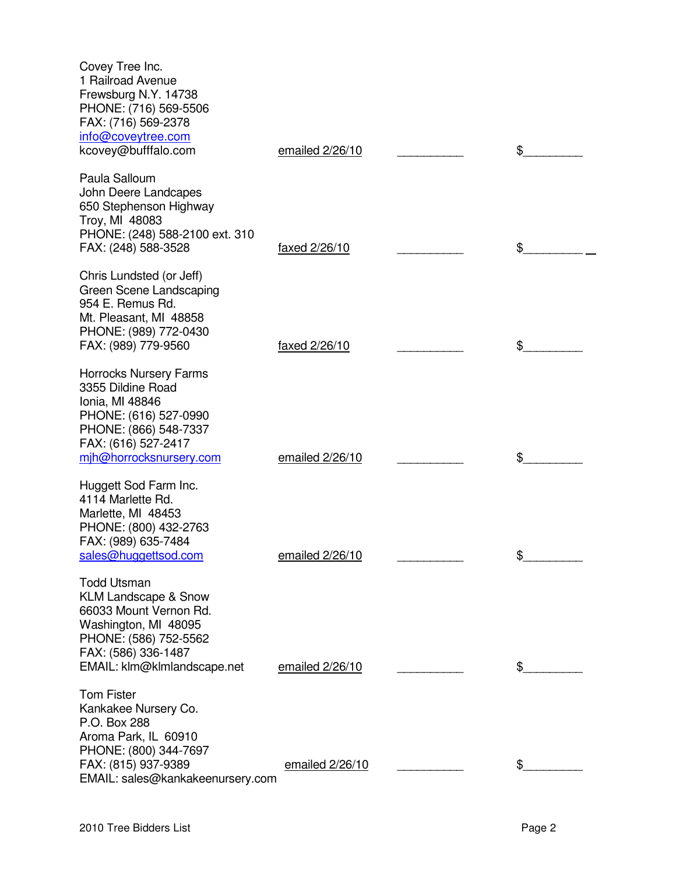| Covey Tree Inc.<br>1 Railroad Avenue<br>Frewsburg N.Y. 14738<br>PHONE: (716) 569-5506<br>FAX: (716) 569-2378<br>info@coveytree.com<br>kcovey@bufffalo.com                              | emailed 2/26/10 | \$ |
|----------------------------------------------------------------------------------------------------------------------------------------------------------------------------------------|-----------------|----|
| Paula Salloum<br>John Deere Landcapes<br>650 Stephenson Highway<br>Troy, MI 48083<br>PHONE: (248) 588-2100 ext. 310<br>FAX: (248) 588-3528                                             | faxed 2/26/10   | \$ |
| Chris Lundsted (or Jeff)<br>Green Scene Landscaping<br>954 E. Remus Rd.<br>Mt. Pleasant, MI 48858<br>PHONE: (989) 772-0430<br>FAX: (989) 779-9560                                      | faxed 2/26/10   | \$ |
| <b>Horrocks Nursery Farms</b><br>3355 Dildine Road<br>Ionia, MI 48846<br>PHONE: (616) 527-0990<br>PHONE: (866) 548-7337<br>FAX: (616) 527-2417<br>mih@horrocksnursery.com              | emailed 2/26/10 | \$ |
| Huggett Sod Farm Inc.<br>4114 Marlette Rd.<br>Marlette, MI 48453<br>PHONE: (800) 432-2763<br>FAX: (989) 635-7484<br>sales@huggettsod.com                                               | emailed 2/26/10 | Φ  |
| <b>Todd Utsman</b><br><b>KLM Landscape &amp; Snow</b><br>66033 Mount Vernon Rd.<br>Washington, MI 48095<br>PHONE: (586) 752-5562<br>FAX: (586) 336-1487<br>EMAIL: klm@klmlandscape.net | emailed 2/26/10 | \$ |
| <b>Tom Fister</b><br>Kankakee Nursery Co.<br>P.O. Box 288<br>Aroma Park, IL 60910<br>PHONE: (800) 344-7697<br>FAX: (815) 937-9389<br>EMAIL: sales@kankakeenursery.com                  | emailed 2/26/10 | \$ |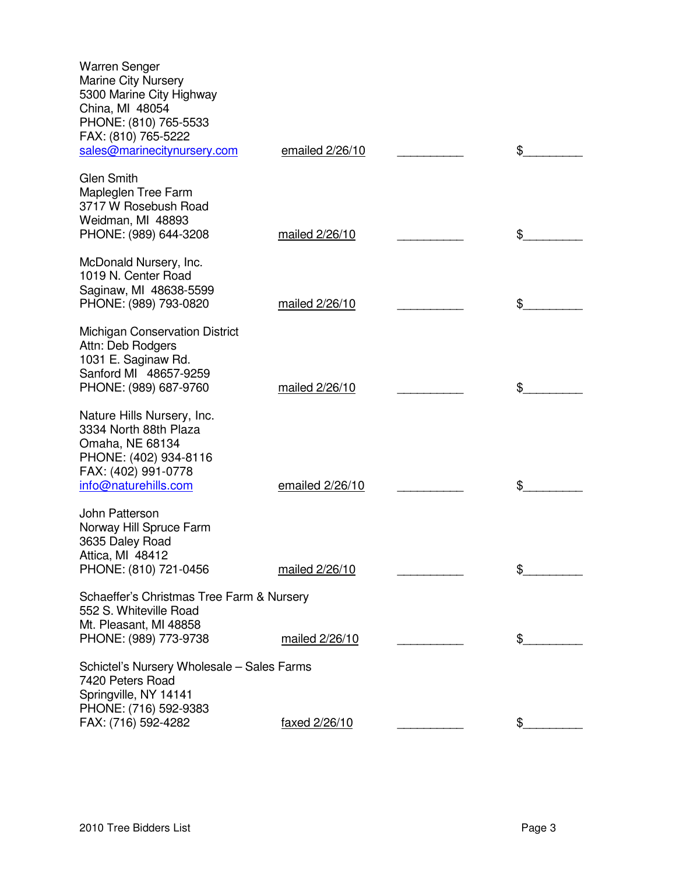| Warren Senger<br><b>Marine City Nursery</b><br>5300 Marine City Highway<br>China, MI 48054<br>PHONE: (810) 765-5533<br>FAX: (810) 765-5222<br>sales@marinecitynursery.com | emailed $2/26/10$    | \$ |
|---------------------------------------------------------------------------------------------------------------------------------------------------------------------------|----------------------|----|
| <b>Glen Smith</b><br>Mapleglen Tree Farm<br>3717 W Rosebush Road<br>Weidman, MI 48893<br>PHONE: (989) 644-3208                                                            | mailed 2/26/10       | \$ |
| McDonald Nursery, Inc.<br>1019 N. Center Road<br>Saginaw, MI 48638-5599<br>PHONE: (989) 793-0820                                                                          | mailed 2/26/10       | \$ |
| <b>Michigan Conservation District</b><br>Attn: Deb Rodgers<br>1031 E. Saginaw Rd.<br>Sanford MI 48657-9259<br>PHONE: (989) 687-9760                                       | mailed 2/26/10       | \$ |
| Nature Hills Nursery, Inc.<br>3334 North 88th Plaza<br>Omaha, NE 68134<br>PHONE: (402) 934-8116<br>FAX: (402) 991-0778<br>info@naturehills.com                            | emailed 2/26/10      | \$ |
| John Patterson<br>Norway Hill Spruce Farm<br>3635 Daley Road<br>Attica, MI 48412<br>PHONE: (810) 721-0456                                                                 | mailed 2/26/10       | \$ |
| Schaeffer's Christmas Tree Farm & Nursery<br>552 S. Whiteville Road<br>Mt. Pleasant, MI 48858<br>PHONE: (989) 773-9738                                                    | mailed 2/26/10       | \$ |
| Schictel's Nursery Wholesale - Sales Farms<br>7420 Peters Road<br>Springville, NY 14141<br>PHONE: (716) 592-9383<br>FAX: (716) 592-4282                                   | <u>faxed 2/26/10</u> | \$ |
|                                                                                                                                                                           |                      |    |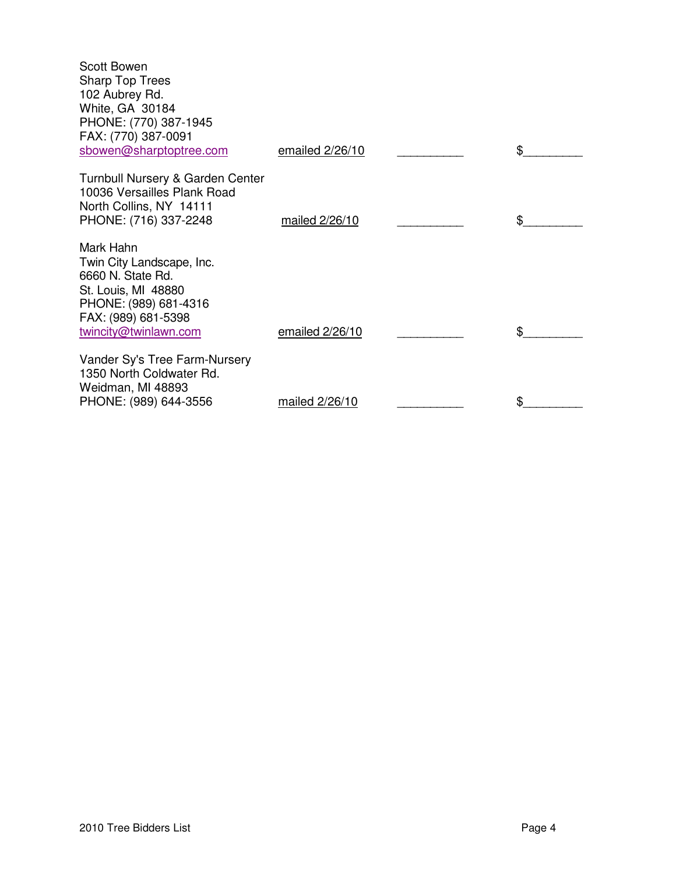| <b>Scott Bowen</b><br><b>Sharp Top Trees</b><br>102 Aubrey Rd.<br>White, GA 30184<br>PHONE: (770) 387-1945<br>FAX: (770) 387-0091<br>sbowen@sharptoptree.com | emailed 2/26/10 | \$ |
|--------------------------------------------------------------------------------------------------------------------------------------------------------------|-----------------|----|
| Turnbull Nursery & Garden Center<br>10036 Versailles Plank Road<br>North Collins, NY 14111<br>PHONE: (716) 337-2248                                          | mailed 2/26/10  | \$ |
| Mark Hahn<br>Twin City Landscape, Inc.<br>6660 N. State Rd.<br>St. Louis, MI 48880<br>PHONE: (989) 681-4316<br>FAX: (989) 681-5398<br>twincity@twinlawn.com  | emailed 2/26/10 | \$ |
| Vander Sy's Tree Farm-Nursery<br>1350 North Coldwater Rd.<br>Weidman, MI 48893<br>PHONE: (989) 644-3556                                                      | mailed 2/26/10  | \$ |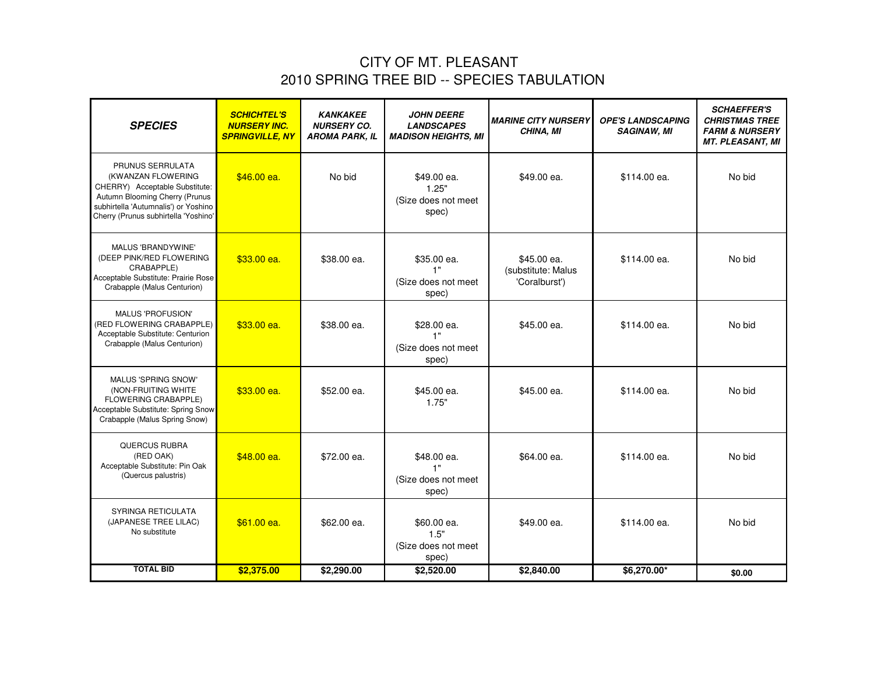# CITY OF MT. PLEASANT 2010 SPRING TREE BID -- SPECIES TABULATION

| <b>SPECIES</b>                                                                                                                                                                             | <b>SCHICHTEL'S</b><br><b>NURSERY INC.</b><br><b>SPRINGVILLE, NY</b> | <b>KANKAKEE</b><br><b>NURSERY CO.</b><br><b>AROMA PARK, IL</b> | <b>JOHN DEERE</b><br><b>LANDSCAPES</b><br><b>MADISON HEIGHTS, MI</b> | <b>MARINE CITY NURSERY</b><br>CHINA, MI            | <b>OPE'S LANDSCAPING</b><br><b>SAGINAW, MI</b> | <b>SCHAEFFER'S</b><br><b>CHRISTMAS TREE</b><br><b>FARM &amp; NURSERY</b><br><b>MT. PLEASANT, MI</b> |
|--------------------------------------------------------------------------------------------------------------------------------------------------------------------------------------------|---------------------------------------------------------------------|----------------------------------------------------------------|----------------------------------------------------------------------|----------------------------------------------------|------------------------------------------------|-----------------------------------------------------------------------------------------------------|
| PRUNUS SERRULATA<br>(KWANZAN FLOWERING<br>CHERRY) Acceptable Substitute:<br>Autumn Blooming Cherry (Prunus<br>subhirtella 'Autumnalis') or Yoshino<br>Cherry (Prunus subhirtella 'Yoshino' | \$46.00 ea.                                                         | No bid                                                         | \$49.00 ea.<br>1.25"<br>(Size does not meet<br>spec)                 | \$49.00 ea.                                        | \$114.00 ea.                                   | No bid                                                                                              |
| MALUS 'BRANDYWINE'<br>(DEEP PINK/RED FLOWERING<br>CRABAPPLE)<br>Acceptable Substitute: Prairie Rose<br>Crabapple (Malus Centurion)                                                         | \$33.00 ea.                                                         | \$38.00 ea.                                                    | \$35.00 ea.<br>1"<br>(Size does not meet<br>spec)                    | \$45.00 ea.<br>(substitute: Malus<br>'Coralburst') | \$114.00 ea.                                   | No bid                                                                                              |
| <b>MALUS 'PROFUSION'</b><br>(RED FLOWERING CRABAPPLE)<br>Acceptable Substitute: Centurion<br>Crabapple (Malus Centurion)                                                                   | $$33.00$ ea.                                                        | \$38.00 ea.                                                    | \$28.00 ea.<br>1"<br>(Size does not meet<br>spec)                    | \$45.00 ea.                                        | \$114.00 ea.                                   | No bid                                                                                              |
| <b>MALUS 'SPRING SNOW'</b><br>(NON-FRUITING WHITE<br>FLOWERING CRABAPPLE)<br>Acceptable Substitute: Spring Snow<br>Crabapple (Malus Spring Snow)                                           | \$33.00 ea.                                                         | \$52.00 ea.                                                    | \$45.00 ea.<br>1.75"                                                 | \$45.00 ea.                                        | \$114.00 ea.                                   | No bid                                                                                              |
| <b>QUERCUS RUBRA</b><br>(RED OAK)<br>Acceptable Substitute: Pin Oak<br>(Quercus palustris)                                                                                                 | \$48.00 ea.                                                         | \$72.00 ea.                                                    | \$48.00 ea.<br>1"<br>(Size does not meet<br>spec)                    | \$64.00 ea.                                        | \$114.00 ea.                                   | No bid                                                                                              |
| SYRINGA RETICULATA<br>(JAPANESE TREE LILAC)<br>No substitute                                                                                                                               | $$61.00$ ea.                                                        | \$62.00 ea.                                                    | \$60.00 ea.<br>1.5"<br>(Size does not meet<br>spec)                  | \$49.00 ea.                                        | \$114.00 ea.                                   | No bid                                                                                              |
| <b>TOTAL BID</b>                                                                                                                                                                           | \$2,375.00                                                          | \$2,290.00                                                     | \$2,520.00                                                           | \$2,840.00                                         | \$6,270.00*                                    | \$0.00                                                                                              |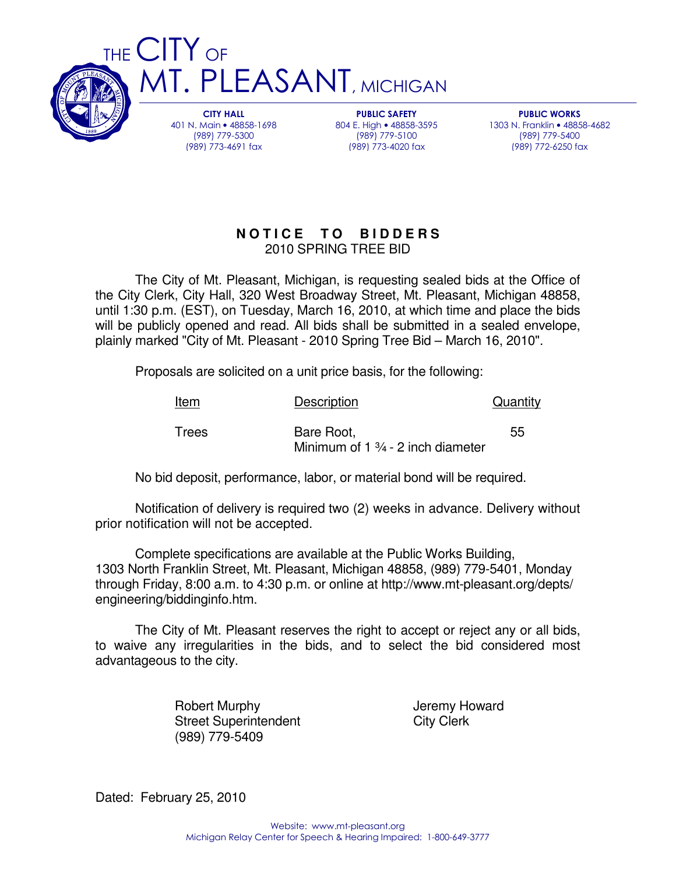

**CITY HALL** 401 N. Main • 48858-1698 (989) 779-5300 (989) 773-4691 fax

**PUBLIC SAFETY** 804 E. High • 48858-3595 (989) 779-5100 (989) 773-4020 fax

**PUBLIC WORKS** 1303 N. Franklin • 48858-4682 (989) 779-5400 (989) 772-6250 fax

# **N O T I C E T O B I D D E R S** 2010 SPRING TREE BID

The City of Mt. Pleasant, Michigan, is requesting sealed bids at the Office of the City Clerk, City Hall, 320 West Broadway Street, Mt. Pleasant, Michigan 48858, until 1:30 p.m. (EST), on Tuesday, March 16, 2010, at which time and place the bids will be publicly opened and read. All bids shall be submitted in a sealed envelope, plainly marked "City of Mt. Pleasant - 2010 Spring Tree Bid – March 16, 2010".

Proposals are solicited on a unit price basis, for the following:

**IT. PLEASANT**, MICHIGAN

| <u>Item</u> | <b>Description</b>                                        | Quantity |
|-------------|-----------------------------------------------------------|----------|
| Trees       | Bare Root,<br>Minimum of $1\frac{3}{4}$ - 2 inch diameter | 55       |

No bid deposit, performance, labor, or material bond will be required.

Notification of delivery is required two (2) weeks in advance. Delivery without prior notification will not be accepted.

Complete specifications are available at the Public Works Building, 1303 North Franklin Street, Mt. Pleasant, Michigan 48858, (989) 779-5401, Monday through Friday, 8:00 a.m. to 4:30 p.m. or online at http://www.mt-pleasant.org/depts/ engineering/biddinginfo.htm.

The City of Mt. Pleasant reserves the right to accept or reject any or all bids, to waive any irregularities in the bids, and to select the bid considered most advantageous to the city.

> Robert Murphy **Internal Accept Accept Accept** Jeremy Howard Street Superintendent City Clerk (989) 779-5409

Dated: February 25, 2010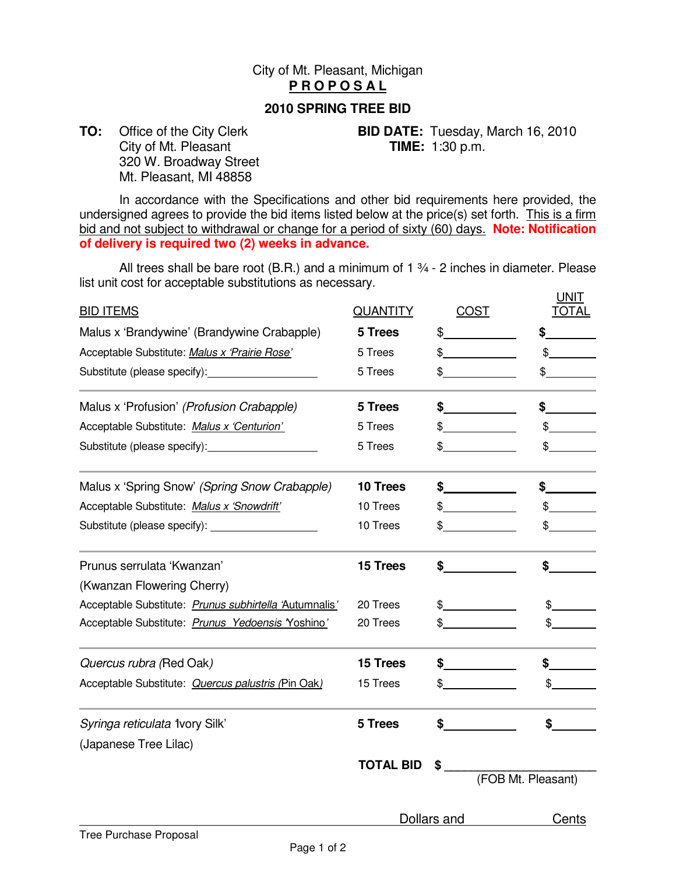## City of Mt. Pleasant, Michigan **P R O P O S A L**

#### **2010 SPRING TREE BID**

City of Mt. Pleasant **TIME:** 1:30 p.m. 320 W. Broadway Street Mt. Pleasant, MI 48858

**TO:** Office of the City Clerk **BID DATE:** Tuesday, March 16, 2010

In accordance with the Specifications and other bid requirements here provided, the undersigned agrees to provide the bid items listed below at the price(s) set forth. This is a firm bid and not subject to withdrawal or change for a period of sixty (60) days. **Note: Notification of delivery is required two (2) weeks in advance.**

All trees shall be bare root (B.R.) and a minimum of  $1\frac{3}{4}$  - 2 inches in diameter. Please list unit cost for acceptable substitutions as necessary. UNIT

| <b>BID ITEMS</b>                                       | <b>QUANTITY</b>  | <b>COST</b> | .<br><b>TOTAL</b>  |
|--------------------------------------------------------|------------------|-------------|--------------------|
| Malus x 'Brandywine' (Brandywine Crabapple)            | 5 Trees          | \$          |                    |
| Acceptable Substitute: Malus x 'Prairie Rose'          | 5 Trees          | \$          | $\mathfrak{S}^-$   |
|                                                        | 5 Trees          | \$          | \$                 |
| Malus x 'Profusion' (Profusion Crabapple)              | 5 Trees          | \$          | \$                 |
| Acceptable Substitute: Malus x 'Centurion'             | 5 Trees          | \$          | $\frac{1}{2}$      |
|                                                        | 5 Trees          | \$          |                    |
| Malus x 'Spring Snow' (Spring Snow Crabapple)          | 10 Trees         | \$          | \$                 |
| Acceptable Substitute: Malus x 'Snowdrift'             | 10 Trees         | \$          | \$                 |
|                                                        | 10 Trees         | \$          | \$                 |
| Prunus serrulata 'Kwanzan'                             | 15 Trees         | \$          | \$                 |
| (Kwanzan Flowering Cherry)                             |                  |             |                    |
| Acceptable Substitute: Prunus subhirtella 'Autumnalis' | 20 Trees         | \$          | \$                 |
| Acceptable Substitute: Prunus Yedoensis Yoshino'       | 20 Trees         | \$          |                    |
| Quercus rubra (Red Oak)                                | 15 Trees         | \$          | \$                 |
| Acceptable Substitute: Quercus palustris (Pin Oak)     | 15 Trees         | \$          | \$                 |
| Syringa reticulata 1vory Silk'                         | 5 Trees          | \$          | $\frac{1}{2}$      |
| (Japanese Tree Lilac)                                  |                  |             |                    |
|                                                        | <b>TOTAL BID</b> | \$          | (FOB Mt. Pleasant) |
|                                                        |                  | Dollars and | Cents              |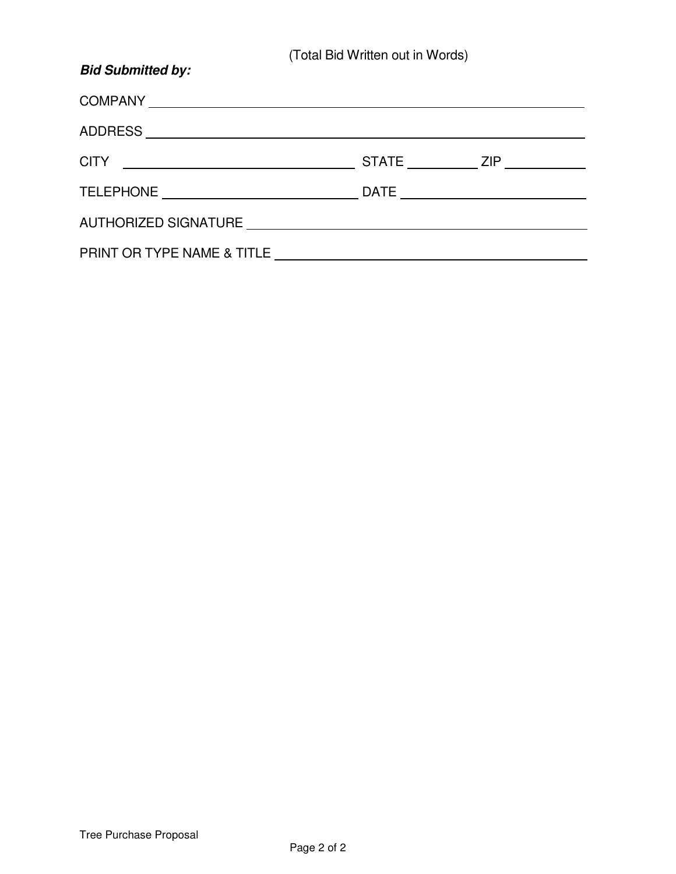| <b>Bid Submitted by:</b>   |                                    |
|----------------------------|------------------------------------|
| COMPANY LATERATIVE COMPANY |                                    |
|                            |                                    |
|                            | STATE ___________ ZIP ____________ |
|                            |                                    |
|                            |                                    |
| PRINT OR TYPE NAME & TITLE |                                    |